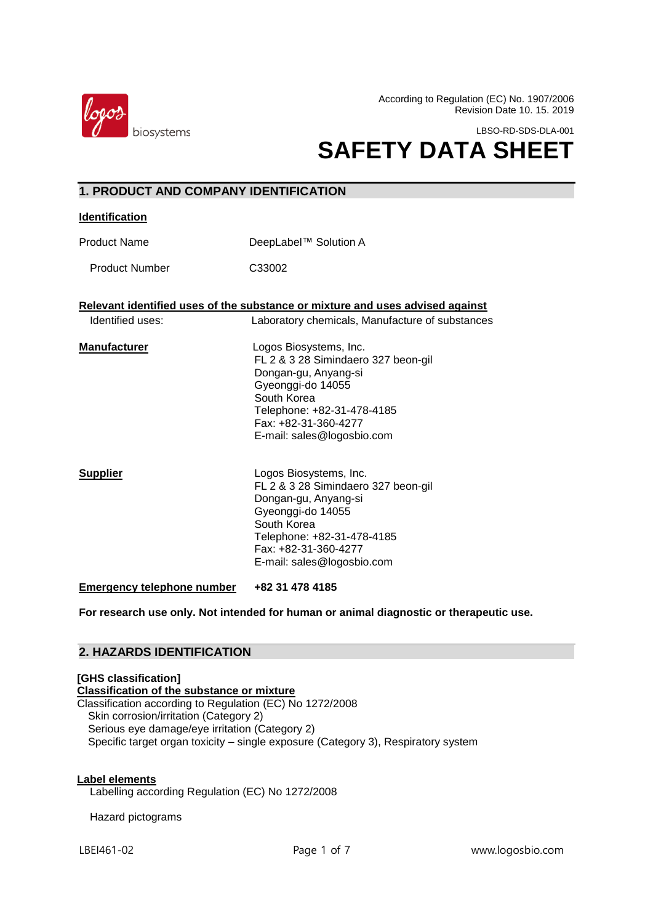

**1. PRODUCT AND COMPANY IDENTIFICATION** 

According to Regulation (EC) No. 1907/2006 Revision Date 10. 15. 2019

LBSO-RD-SDS-DLA-001

# **SAFETY DATA SHEET**

| יוטוואטו ווונאוויומאט שוושט און דעסטשטו ו |                                                                                                                                                                                                               |  |
|-------------------------------------------|---------------------------------------------------------------------------------------------------------------------------------------------------------------------------------------------------------------|--|
| <b>Identification</b>                     |                                                                                                                                                                                                               |  |
| <b>Product Name</b>                       | DeepLabel™ Solution A                                                                                                                                                                                         |  |
| <b>Product Number</b>                     | C33002                                                                                                                                                                                                        |  |
|                                           | Relevant identified uses of the substance or mixture and uses advised against                                                                                                                                 |  |
| Identified uses:                          | Laboratory chemicals, Manufacture of substances                                                                                                                                                               |  |
| <b>Manufacturer</b>                       | Logos Biosystems, Inc.<br>FL 2 & 3 28 Simindaero 327 beon-gil<br>Dongan-gu, Anyang-si<br>Gyeonggi-do 14055<br>South Korea<br>Telephone: +82-31-478-4185<br>Fax: +82-31-360-4277<br>E-mail: sales@logosbio.com |  |
| <b>Supplier</b>                           | Logos Biosystems, Inc.<br>FL 2 & 3 28 Simindaero 327 beon-gil<br>Dongan-gu, Anyang-si<br>Gyeonggi-do 14055<br>South Korea<br>Telephone: +82-31-478-4185<br>Fax: +82-31-360-4277<br>E-mail: sales@logosbio.com |  |
| <b>Emergency telephone number</b>         | +82 31 478 4185                                                                                                                                                                                               |  |

**For research use only. Not intended for human or animal diagnostic or therapeutic use.**

# **2. HAZARDS IDENTIFICATION**

# **[GHS classification] Classification of the substance or mixture** Classification according to Regulation (EC) No 1272/2008 Skin corrosion/irritation (Category 2) Serious eye damage/eye irritation (Category 2) Specific target organ toxicity – single exposure (Category 3), Respiratory system

# **Label elements**

Labelling according Regulation (EC) No 1272/2008

Hazard pictograms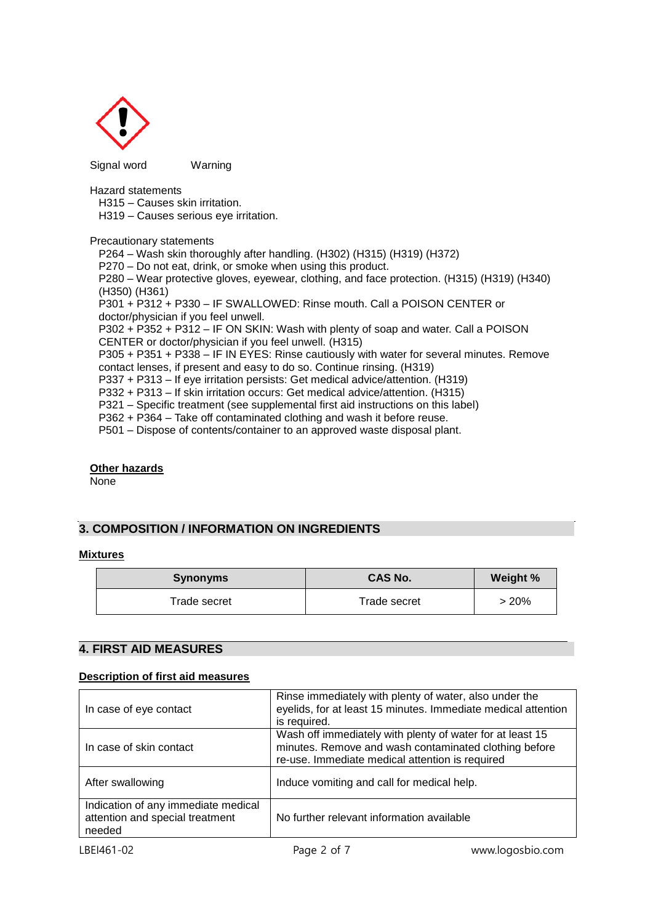

Signal wordWarning

Hazard statements

H315 – Causes skin irritation.

H319 – Causes serious eye irritation.

Precautionary statements

P264 – Wash skin thoroughly after handling. (H302) (H315) (H319) (H372) P270 – Do not eat, drink, or smoke when using this product.

P280 – Wear protective gloves, eyewear, clothing, and face protection. (H315) (H319) (H340) (H350) (H361)

P301 + P312 + P330 – IF SWALLOWED: Rinse mouth. Call a POISON CENTER or doctor/physician if you feel unwell.

P302 + P352 + P312 – IF ON SKIN: Wash with plenty of soap and water. Call a POISON CENTER or doctor/physician if you feel unwell. (H315)

P305 + P351 + P338 – IF IN EYES: Rinse cautiously with water for several minutes. Remove contact lenses, if present and easy to do so. Continue rinsing. (H319)

P337 + P313 – If eye irritation persists: Get medical advice/attention. (H319)

P332 + P313 – If skin irritation occurs: Get medical advice/attention. (H315)

P321 – Specific treatment (see supplemental first aid instructions on this label)

P362 + P364 – Take off contaminated clothing and wash it before reuse.

P501 – Dispose of contents/container to an approved waste disposal plant.

# **Other hazards**

None

# **3. COMPOSITION / INFORMATION ON INGREDIENTS**

# **Mixtures**

| <b>Synonyms</b> | <b>CAS No.</b> | Weight % |
|-----------------|----------------|----------|
| Trade secret    | Trade secret   | >20%     |

# $\overline{a}$ **4. FIRST AID MEASURES**

# **Description of first aid measures**

| In case of eye contact                                                           | Rinse immediately with plenty of water, also under the<br>eyelids, for at least 15 minutes. Immediate medical attention<br>is required.                               |
|----------------------------------------------------------------------------------|-----------------------------------------------------------------------------------------------------------------------------------------------------------------------|
| In case of skin contact                                                          | Wash off immediately with plenty of water for at least 15<br>minutes. Remove and wash contaminated clothing before<br>re-use. Immediate medical attention is required |
| After swallowing                                                                 | Induce vomiting and call for medical help.                                                                                                                            |
| Indication of any immediate medical<br>attention and special treatment<br>needed | No further relevant information available                                                                                                                             |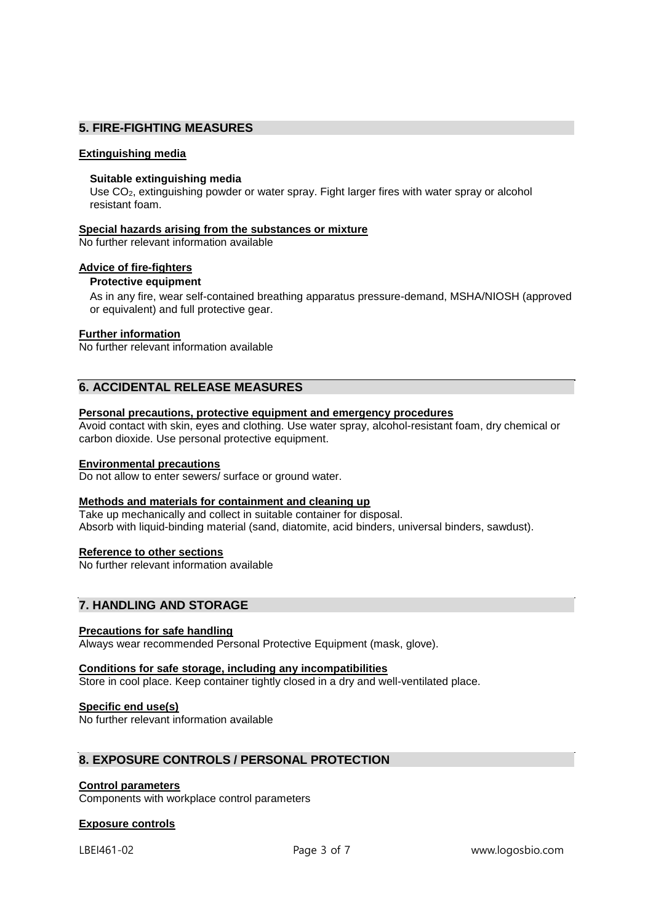# **5. FIRE-FIGHTING MEASURES**

# **Extinguishing media**

# **Suitable extinguishing media**

Use CO<sub>2</sub>, extinguishing powder or water spray. Fight larger fires with water spray or alcohol resistant foam.

# **Special hazards arising from the substances or mixture**

No further relevant information available

# **Advice of fire-fighters**

# **Protective equipment**

As in any fire, wear self-contained breathing apparatus pressure-demand, MSHA/NIOSH (approved or equivalent) and full protective gear.

# **Further information**

No further relevant information available

# **6. ACCIDENTAL RELEASE MEASURES**

# **Personal precautions, protective equipment and emergency procedures**

Avoid contact with skin, eyes and clothing. Use water spray, alcohol-resistant foam, dry chemical or carbon dioxide. Use personal protective equipment.

# **Environmental precautions**

Do not allow to enter sewers/ surface or ground water.

# **Methods and materials for containment and cleaning up**

Take up mechanically and collect in suitable container for disposal. Absorb with liquid-binding material (sand, diatomite, acid binders, universal binders, sawdust).

# **Reference to other sections**

No further relevant information available

# **7. HANDLING AND STORAGE**

# **Precautions for safe handling**

Always wear recommended Personal Protective Equipment (mask, glove).

# **Conditions for safe storage, including any incompatibilities**

Store in cool place. Keep container tightly closed in a dry and well-ventilated place.

# **Specific end use(s)**

No further relevant information available

# **8. EXPOSURE CONTROLS / PERSONAL PROTECTION**

# **Control parameters**

Components with workplace control parameters

# **Exposure controls**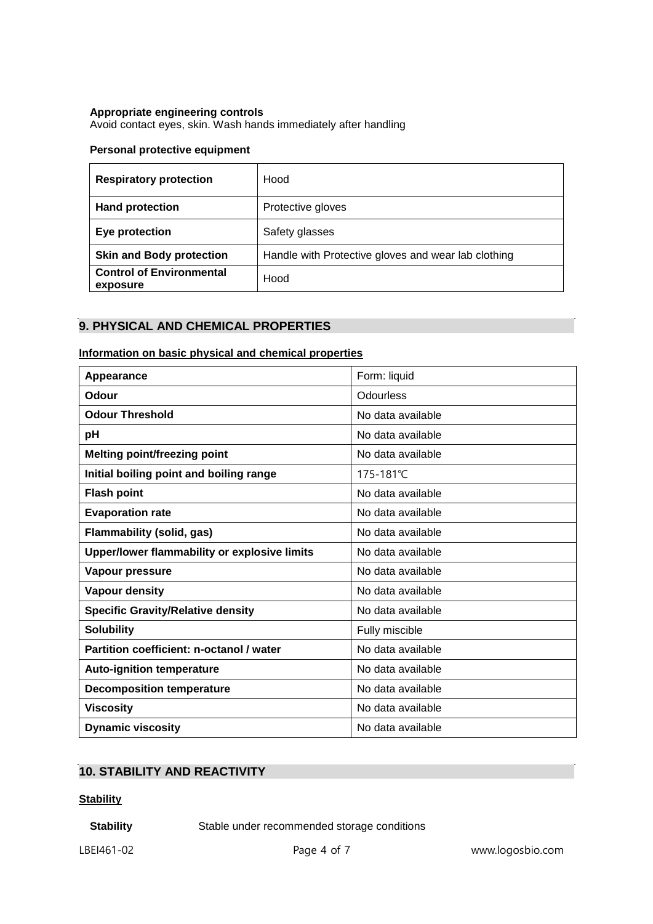# **Appropriate engineering controls**

Avoid contact eyes, skin. Wash hands immediately after handling

# **Personal protective equipment**

| <b>Respiratory protection</b>               | Hood                                                |
|---------------------------------------------|-----------------------------------------------------|
| <b>Hand protection</b>                      | Protective gloves                                   |
| Eye protection                              | Safety glasses                                      |
| <b>Skin and Body protection</b>             | Handle with Protective gloves and wear lab clothing |
| <b>Control of Environmental</b><br>exposure | Hood                                                |

# **9. PHYSICAL AND CHEMICAL PROPERTIES**

# **Information on basic physical and chemical properties**

| Appearance                                   | Form: liquid      |
|----------------------------------------------|-------------------|
| Odour                                        | Odourless         |
| <b>Odour Threshold</b>                       | No data available |
| рH                                           | No data available |
| <b>Melting point/freezing point</b>          | No data available |
| Initial boiling point and boiling range      | 175-181°C         |
| <b>Flash point</b>                           | No data available |
| <b>Evaporation rate</b>                      | No data available |
| <b>Flammability (solid, gas)</b>             | No data available |
| Upper/lower flammability or explosive limits | No data available |
| Vapour pressure                              | No data available |
| Vapour density                               | No data available |
| <b>Specific Gravity/Relative density</b>     | No data available |
| <b>Solubility</b>                            | Fully miscible    |
| Partition coefficient: n-octanol / water     | No data available |
| <b>Auto-ignition temperature</b>             | No data available |
| <b>Decomposition temperature</b>             | No data available |
| <b>Viscosity</b>                             | No data available |
| <b>Dynamic viscosity</b>                     | No data available |

# **10. STABILITY AND REACTIVITY**

# **Stability**

**Stability Stable under recommended storage conditions**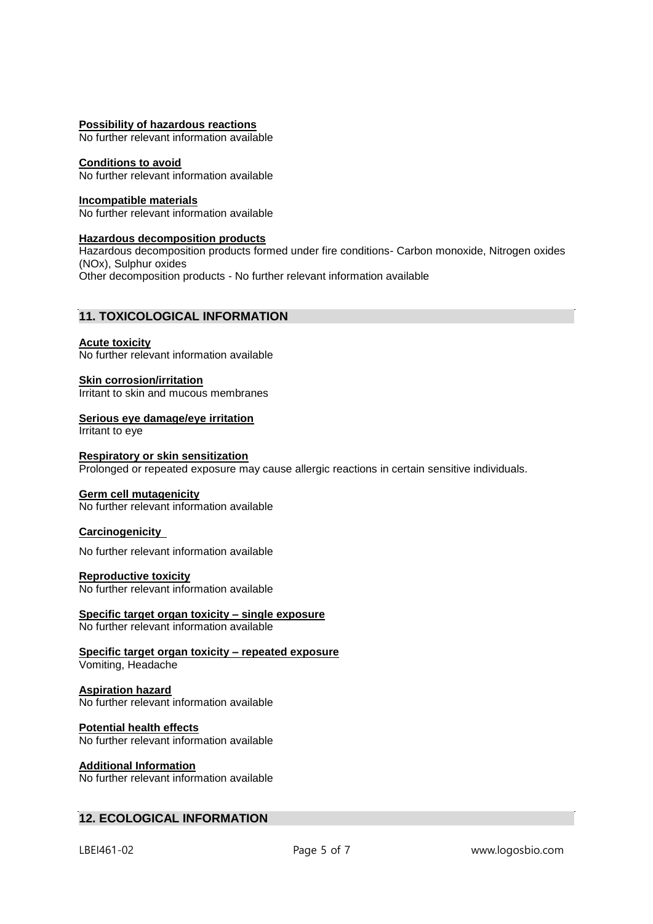# **Possibility of hazardous reactions**

No further relevant information available

# **Conditions to avoid**

No further relevant information available

# **Incompatible materials**

No further relevant information available

# **Hazardous decomposition products**

Hazardous decomposition products formed under fire conditions- Carbon monoxide, Nitrogen oxides (NOx), Sulphur oxides Other decomposition products - No further relevant information available

# **11. TOXICOLOGICAL INFORMATION**

### **Acute toxicity**

No further relevant information available

# **Skin corrosion/irritation**

Irritant to skin and mucous membranes

# **Serious eye damage/eye irritation**

Irritant to eye

# **Respiratory or skin sensitization**

Prolonged or repeated exposure may cause allergic reactions in certain sensitive individuals.

# **Germ cell mutagenicity**

No further relevant information available

# **Carcinogenicity**

No further relevant information available

# **Reproductive toxicity**

No further relevant information available

### **Specific target organ toxicity – single exposure** No further relevant information available

### **Specific target organ toxicity – repeated exposure** Vomiting, Headache

### **Aspiration hazard** No further relevant information available

### **Potential health effects** No further relevant information available

# **Additional Information**

No further relevant information available

# **12. ECOLOGICAL INFORMATION**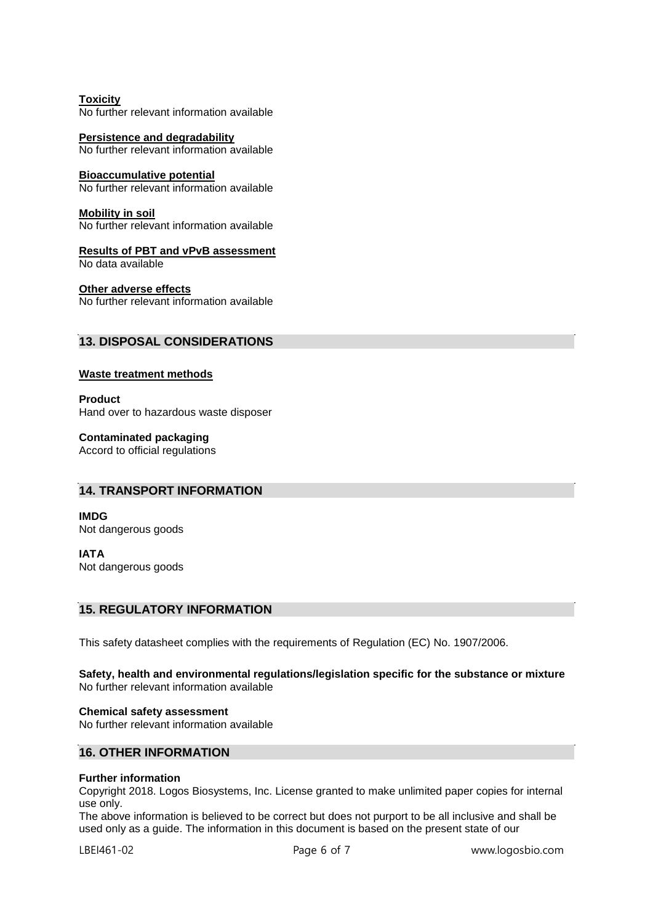**Toxicity** No further relevant information available

**Persistence and degradability** No further relevant information available

# **Bioaccumulative potential**

No further relevant information available

### **Mobility in soil**

No further relevant information available

**Results of PBT and vPvB assessment** No data available

### **Other adverse effects**

No further relevant information available

# **13. DISPOSAL CONSIDERATIONS**

# **Waste treatment methods**

**Product** Hand over to hazardous waste disposer

**Contaminated packaging** Accord to official regulations

# **14. TRANSPORT INFORMATION**

**IMDG** Not dangerous goods

**IATA** Not dangerous goods

# **15. REGULATORY INFORMATION**

This safety datasheet complies with the requirements of Regulation (EC) No. 1907/2006.

### **Safety, health and environmental regulations/legislation specific for the substance or mixture** No further relevant information available

**Chemical safety assessment** No further relevant information available

# **16. OTHER INFORMATION**

# **Further information**

Copyright 2018. Logos Biosystems, Inc. License granted to make unlimited paper copies for internal use only.

The above information is believed to be correct but does not purport to be all inclusive and shall be used only as a guide. The information in this document is based on the present state of our

LBEI461-02 Page 6 of 7 www.logosbio.com